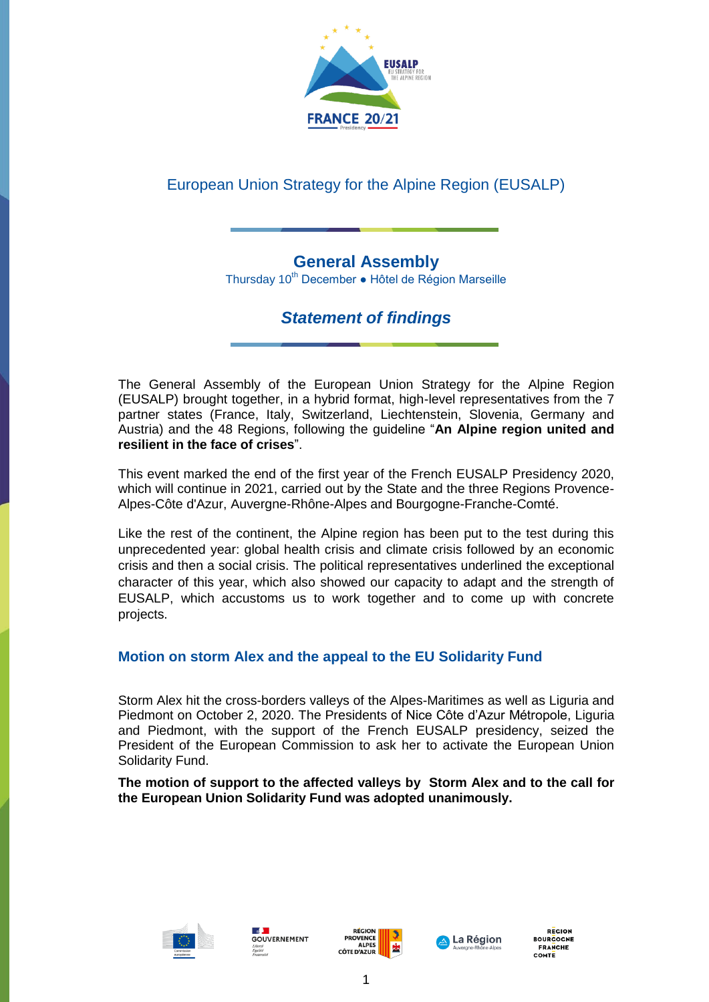

# European Union Strategy for the Alpine Region (EUSALP)

# **General Assembly**

Thursday 10<sup>th</sup> December . Hôtel de Région Marseille

# *Statement of findings*

The General Assembly of the European Union Strategy for the Alpine Region (EUSALP) brought together, in a hybrid format, high-level representatives from the 7 partner states (France, Italy, Switzerland, Liechtenstein, Slovenia, Germany and Austria) and the 48 Regions, following the guideline "**An Alpine region united and resilient in the face of crises**".

This event marked the end of the first year of the French EUSALP Presidency 2020, which will continue in 2021, carried out by the State and the three Regions Provence-Alpes-Côte d'Azur, Auvergne-Rhône-Alpes and Bourgogne-Franche-Comté.

Like the rest of the continent, the Alpine region has been put to the test during this unprecedented year: global health crisis and climate crisis followed by an economic crisis and then a social crisis. The political representatives underlined the exceptional character of this year, which also showed our capacity to adapt and the strength of EUSALP, which accustoms us to work together and to come up with concrete projects.

## **Motion on storm Alex and the appeal to the EU Solidarity Fund**

Storm Alex hit the cross-borders valleys of the Alpes-Maritimes as well as Liguria and Piedmont on October 2, 2020. The Presidents of Nice Côte d'Azur Métropole, Liguria and Piedmont, with the support of the French EUSALP presidency, seized the President of the European Commission to ask her to activate the European Union Solidarity Fund.

**The motion of support to the affected valleys by Storm Alex and to the call for the European Union Solidarity Fund was adopted unanimously.**









**RECION OURCOCNE FRANCHE** COMTE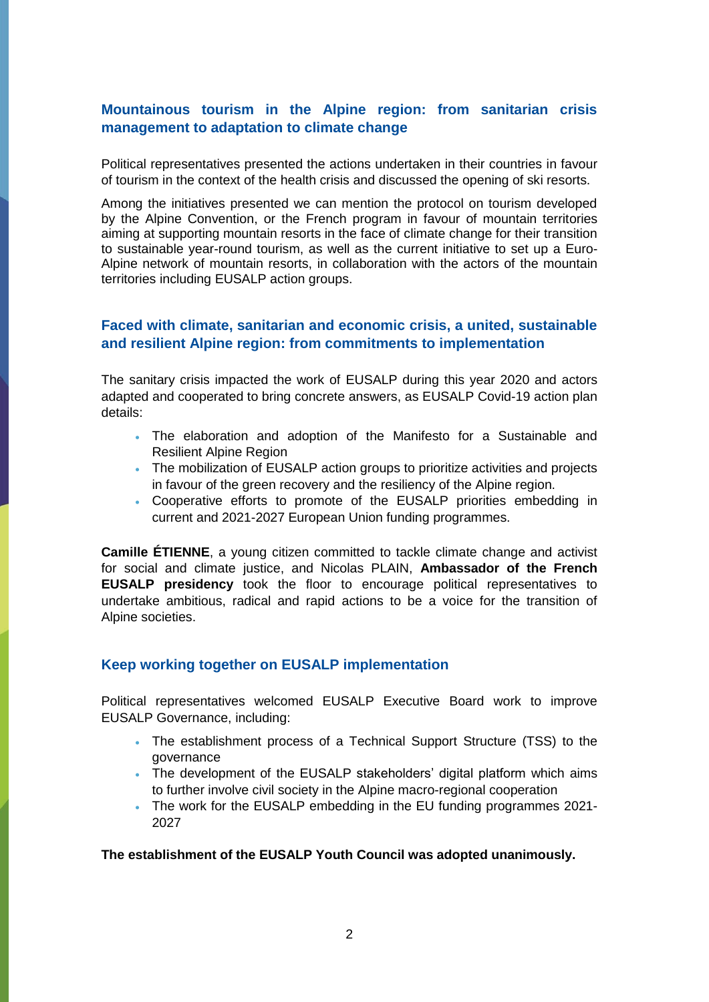### **Mountainous tourism in the Alpine region: from sanitarian crisis management to adaptation to climate change**

Political representatives presented the actions undertaken in their countries in favour of tourism in the context of the health crisis and discussed the opening of ski resorts.

Among the initiatives presented we can mention the protocol on tourism developed by the Alpine Convention, or the French program in favour of mountain territories aiming at supporting mountain resorts in the face of climate change for their transition to sustainable year-round tourism, as well as the current initiative to set up a Euro-Alpine network of mountain resorts, in collaboration with the actors of the mountain territories including EUSALP action groups.

### **Faced with climate, sanitarian and economic crisis, a united, sustainable and resilient Alpine region: from commitments to implementation**

The sanitary crisis impacted the work of EUSALP during this year 2020 and actors adapted and cooperated to bring concrete answers, as EUSALP Covid-19 action plan details:

- The elaboration and adoption of the Manifesto for a Sustainable and Resilient Alpine Region
- The mobilization of EUSALP action groups to prioritize activities and projects in favour of the green recovery and the resiliency of the Alpine region.
- Cooperative efforts to promote of the EUSALP priorities embedding in current and 2021-2027 European Union funding programmes.

**Camille ÉTIENNE**, a young citizen committed to tackle climate change and activist for social and climate justice, and Nicolas PLAIN, **Ambassador of the French EUSALP presidency** took the floor to encourage political representatives to undertake ambitious, radical and rapid actions to be a voice for the transition of Alpine societies.

#### **Keep working together on EUSALP implementation**

Political representatives welcomed EUSALP Executive Board work to improve EUSALP Governance, including:

- The establishment process of a Technical Support Structure (TSS) to the governance
- The development of the EUSALP stakeholders' digital platform which aims to further involve civil society in the Alpine macro-regional cooperation
- The work for the EUSALP embedding in the EU funding programmes 2021- 2027

**The establishment of the EUSALP Youth Council was adopted unanimously.**